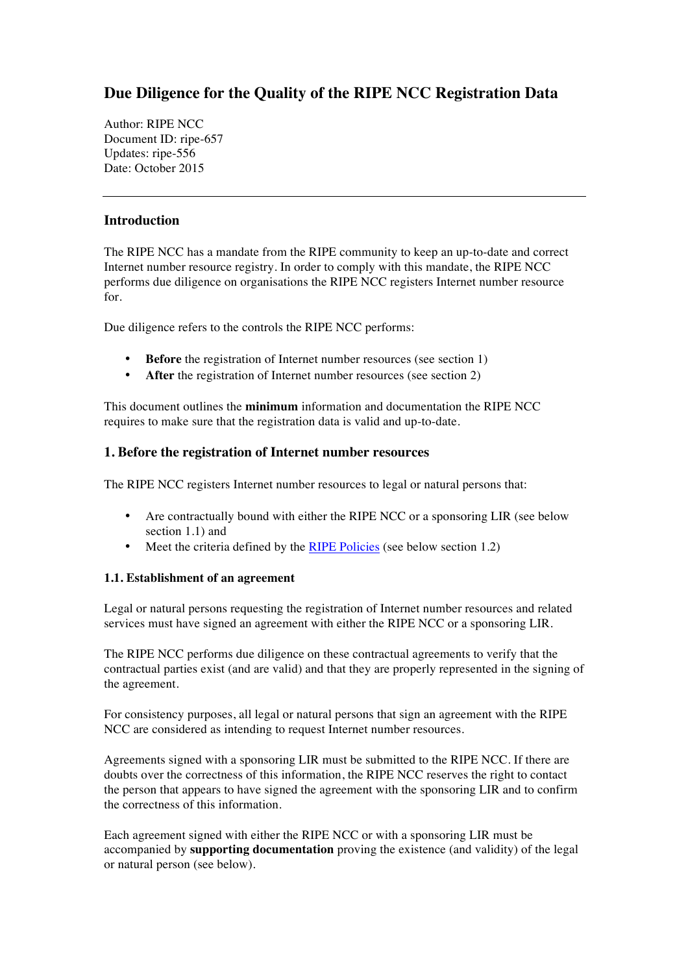# **Due Diligence for the Quality of the RIPE NCC Registration Data**

Author: RIPE NCC Document ID: ripe-657 Updates: ripe-556 Date: October 2015

### **Introduction**

The RIPE NCC has a mandate from the RIPE community to keep an up-to-date and correct Internet number resource registry. In order to comply with this mandate, the RIPE NCC performs due diligence on organisations the RIPE NCC registers Internet number resource for.

Due diligence refers to the controls the RIPE NCC performs:

- **Before** the registration of Internet number resources (see section 1)
- After the registration of Internet number resources (see section 2)

This document outlines the **minimum** information and documentation the RIPE NCC requires to make sure that the registration data is valid and up-to-date.

#### **1. Before the registration of Internet number resources**

The RIPE NCC registers Internet number resources to legal or natural persons that:

- Are contractually bound with either the RIPE NCC or a sponsoring LIR (see below section 1.1) and
- Meet the criteria defined by the [RIPE Policies](http://www.ripe.net/ripe-policies) (see below section 1.2)

#### **1.1. Establishment of an agreement**

Legal or natural persons requesting the registration of Internet number resources and related services must have signed an agreement with either the RIPE NCC or a sponsoring LIR.

The RIPE NCC performs due diligence on these contractual agreements to verify that the contractual parties exist (and are valid) and that they are properly represented in the signing of the agreement.

For consistency purposes, all legal or natural persons that sign an agreement with the RIPE NCC are considered as intending to request Internet number resources.

Agreements signed with a sponsoring LIR must be submitted to the RIPE NCC. If there are doubts over the correctness of this information, the RIPE NCC reserves the right to contact the person that appears to have signed the agreement with the sponsoring LIR and to confirm the correctness of this information.

Each agreement signed with either the RIPE NCC or with a sponsoring LIR must be accompanied by **supporting documentation** proving the existence (and validity) of the legal or natural person (see below).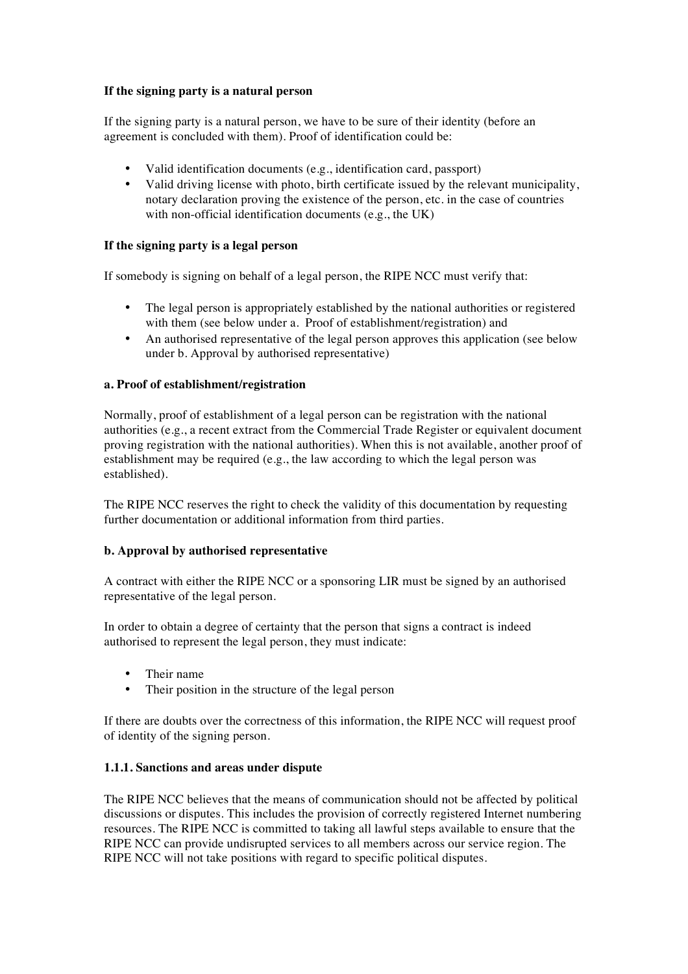#### **If the signing party is a natural person**

If the signing party is a natural person, we have to be sure of their identity (before an agreement is concluded with them). Proof of identification could be:

- Valid identification documents (e.g., identification card, passport)
- Valid driving license with photo, birth certificate issued by the relevant municipality, notary declaration proving the existence of the person, etc. in the case of countries with non-official identification documents (e.g., the UK)

#### **If the signing party is a legal person**

If somebody is signing on behalf of a legal person, the RIPE NCC must verify that:

- The legal person is appropriately established by the national authorities or registered with them (see below under a. Proof of establishment/registration) and
- An authorised representative of the legal person approves this application (see below under b. Approval by authorised representative)

#### **a. Proof of establishment/registration**

Normally, proof of establishment of a legal person can be registration with the national authorities (e.g., a recent extract from the Commercial Trade Register or equivalent document proving registration with the national authorities). When this is not available, another proof of establishment may be required (e.g., the law according to which the legal person was established).

The RIPE NCC reserves the right to check the validity of this documentation by requesting further documentation or additional information from third parties.

#### **b. Approval by authorised representative**

A contract with either the RIPE NCC or a sponsoring LIR must be signed by an authorised representative of the legal person.

In order to obtain a degree of certainty that the person that signs a contract is indeed authorised to represent the legal person, they must indicate:

- Their name
- Their position in the structure of the legal person

If there are doubts over the correctness of this information, the RIPE NCC will request proof of identity of the signing person.

#### **1.1.1. Sanctions and areas under dispute**

The RIPE NCC believes that the means of communication should not be affected by political discussions or disputes. This includes the provision of correctly registered Internet numbering resources. The RIPE NCC is committed to taking all lawful steps available to ensure that the RIPE NCC can provide undisrupted services to all members across our service region. The RIPE NCC will not take positions with regard to specific political disputes.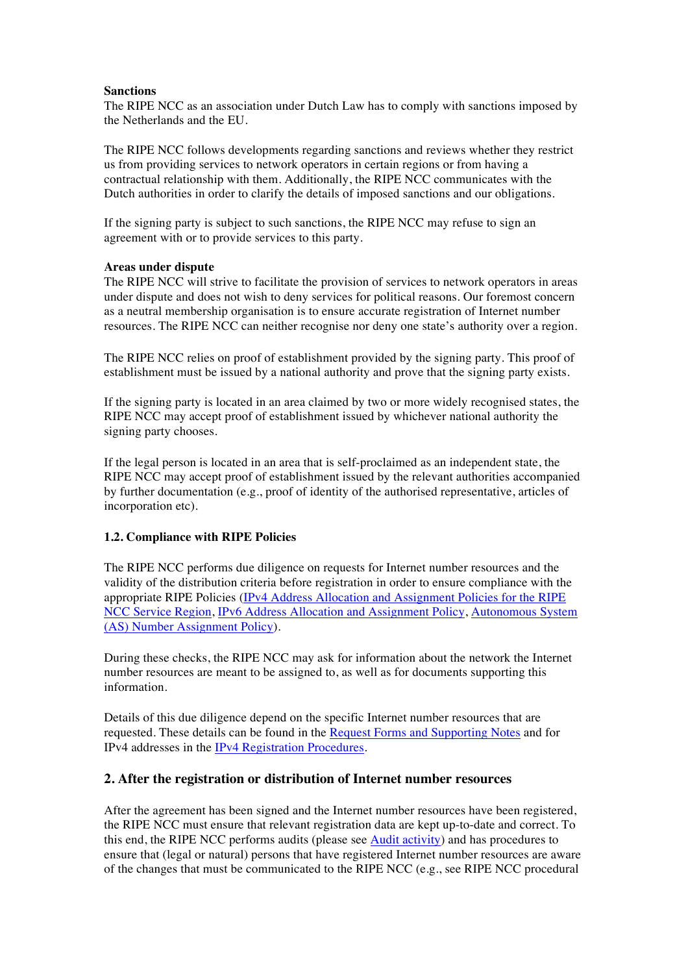#### **Sanctions**

The RIPE NCC as an association under Dutch Law has to comply with sanctions imposed by the Netherlands and the EU.

The RIPE NCC follows developments regarding sanctions and reviews whether they restrict us from providing services to network operators in certain regions or from having a contractual relationship with them. Additionally, the RIPE NCC communicates with the Dutch authorities in order to clarify the details of imposed sanctions and our obligations.

If the signing party is subject to such sanctions, the RIPE NCC may refuse to sign an agreement with or to provide services to this party.

#### **Areas under dispute**

The RIPE NCC will strive to facilitate the provision of services to network operators in areas under dispute and does not wish to deny services for political reasons. Our foremost concern as a neutral membership organisation is to ensure accurate registration of Internet number resources. The RIPE NCC can neither recognise nor deny one state's authority over a region.

The RIPE NCC relies on proof of establishment provided by the signing party. This proof of establishment must be issued by a national authority and prove that the signing party exists.

If the signing party is located in an area claimed by two or more widely recognised states, the RIPE NCC may accept proof of establishment issued by whichever national authority the signing party chooses.

If the legal person is located in an area that is self-proclaimed as an independent state, the RIPE NCC may accept proof of establishment issued by the relevant authorities accompanied by further documentation (e.g., proof of identity of the authorised representative, articles of incorporation etc).

#### **1.2. Compliance with RIPE Policies**

The RIPE NCC performs due diligence on requests for Internet number resources and the validity of the distribution criteria before registration in order to ensure compliance with the appropriate RIPE Policies ([IPv4 Address Allocation and Assignment Policies for the RIPE](http://www.ripe.net/publications/docs/ipv4-policies) [NCC Service Region,](http://www.ripe.net/publications/docs/ipv4-policies) [IPv6 Address Allocation and Assignment Policy,](http://www.ripe.net/publications/docs/ipv6-policy) [Autonomous System](http://www.ripe.net/publications/docs/asn-assignment-policies)  [\(AS\) Number Assignment Policy](http://www.ripe.net/publications/docs/asn-assignment-policies)).

During these checks, the RIPE NCC may ask for information about the network the Internet number resources are meant to be assigned to, as well as for documents supporting this information.

Details of this due diligence depend on the specific Internet number resources that are requested. These details can be found in the [Request Forms and Supporting Notes](http://www.ripe.net/request-forms-notes) and for IPv4 addresses in the [IPv4 Registration Procedures.](http://www.ripe.net/ipv4-evaluation-procedures)

#### **2. After the registration or distribution of Internet number resources**

After the agreement has been signed and the Internet number resources have been registered, the RIPE NCC must ensure that relevant registration data are kept up-to-date and correct. To this end, the RIPE NCC performs audits (please see [Audit activity](http://www.ripe.net/publications/docs/audit)) and has procedures to ensure that (legal or natural) persons that have registered Internet number resources are aware of the changes that must be communicated to the RIPE NCC (e.g., see RIPE NCC procedural